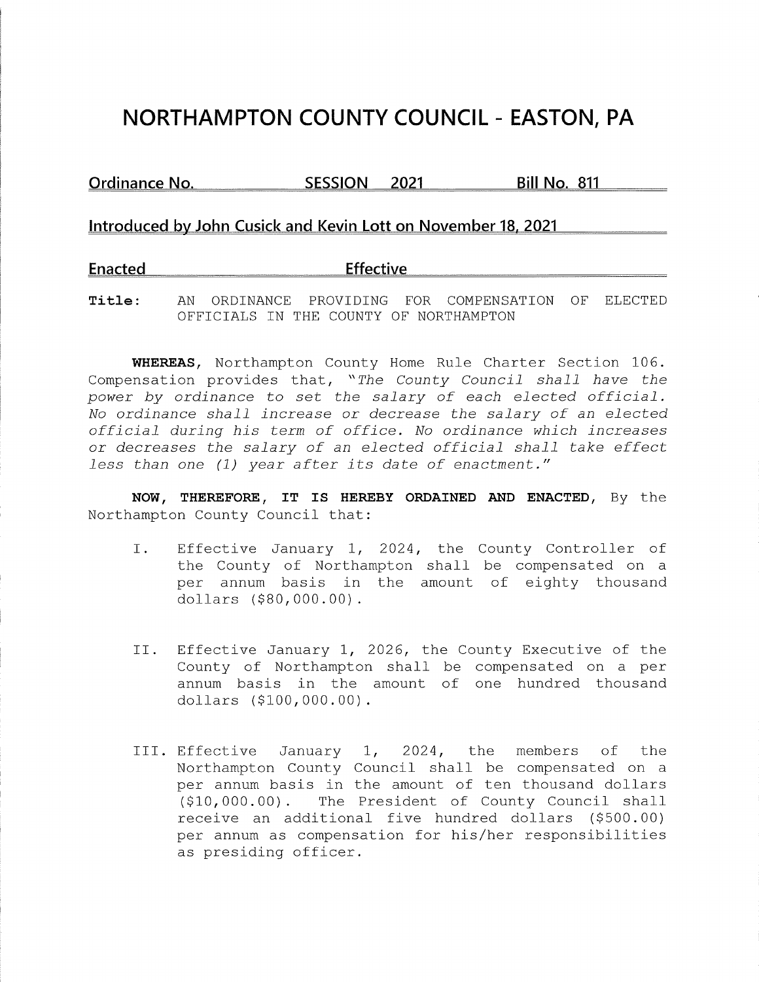## **NORTHAMPTON COUNTY COUNCIL - EASTON, PA**

**Ordinance No. SESSION 2021 Bill No. 811** 

## **Introduced by John Cusick and Kevin Lott on November 18. 2021**

**Enacted Effective** 

**Title:** AN ORDINANCE PROVIDING FOR COMPENSATION OF ELECTED OFFICIALS IN THE COUNTY OF NORTHAMPTON

**WHEREAS,** Northampton County Home Rule Charter Section 106. Compensation provides that, *"The County Council shall have the power by ordinance* to *set the salary of each elected official. No ordinance shall increase or decrease the salary of an elected official during his term of office. No ordinance which increases or decreases the salary of an elected official shall take effect less than one (1) year after its date of enactment."* 

**NOW, THEREFORE, IT IS HEREBY ORDAINED AND ENACTED,** By the Northampton County Council that:

- I. Effective January 1, 2024, the County Controller of the County of Northampton shall be compensated on a per annum basis in the amount of eighty thousand dollars (\$[80,000.00](https://80,000.00)).
- II. Effective January 1, 2026, the County Executive of the County of Northampton shall be compensated on a per annum basis in the amount of one hundred thousand dollars (\$[100,000.00](https://100,000.00)).
- III. Effective January 1, 2024, the members of the Northampton County Council shall be compensated on a per annum basis in the amount of ten thousand dollars (\$[10,000.00](https://10,000.00)). The President of County Council shall receive an additional five hundred dollars (\$500.00) per annum as compensation for his/her responsibilities as presiding officer.